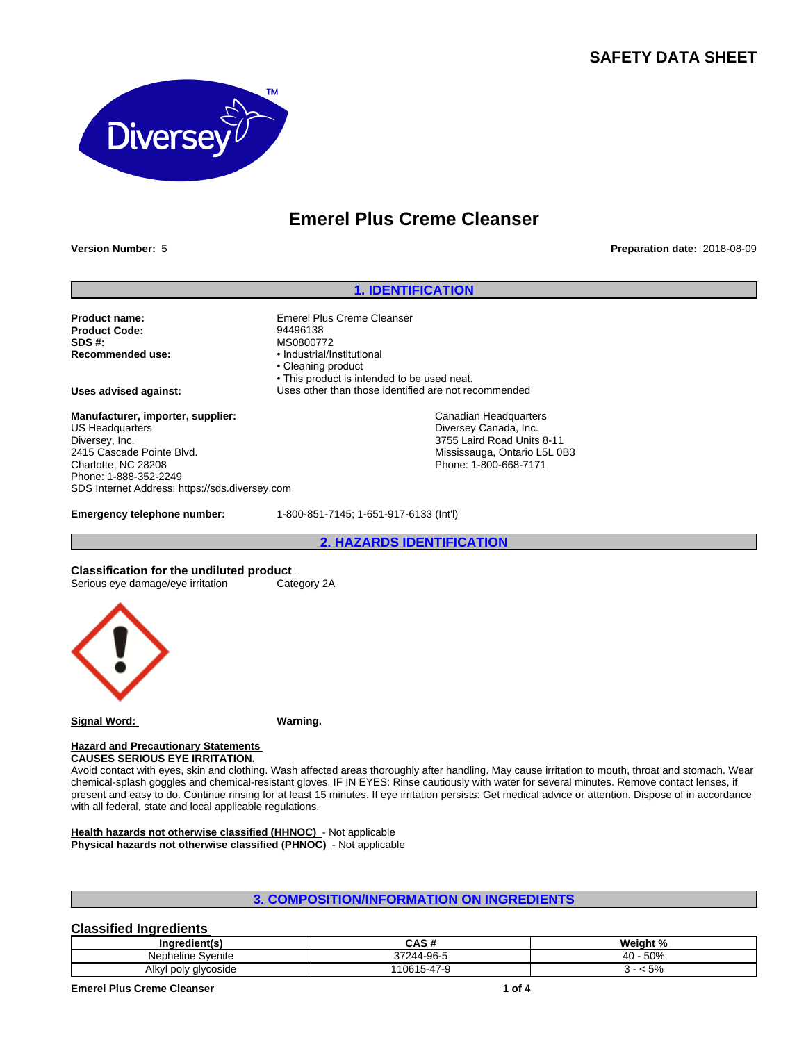# **SAFETY DATA SHEET**



# **Emerel Plus Creme Cleanser**

**Version Number:** 5 **Preparation date:** 2018-08-09

### **1. IDENTIFICATION**

**Product name:** Emerel Plus Creme Cleanser<br> **Product Code:** 201496138 **Product Code:**<br>SDS #: **SDS #:** MS0800772<br> **Recommended use:** MS0800772

**Manufacturer, importer, supplier:** US Headquarters Diversey, Inc. 2415 Cascade Pointe Blvd. Charlotte, NC 28208 Phone: 1-888-352-2249 SDS Internet Address: https://sds.diversey.com

**Recommended use:** •Industrial/Institutional • Cleaning product • This product is intended to be used neat. **Uses advised against:** Uses other than those identified are not recommended

> Canadian Headquarters Diversey Canada, Inc. 3755 Laird Road Units 8-11 Mississauga, Ontario L5L 0B3 Phone: 1-800-668-7171

**Emergency telephone number:** 1-800-851-7145; 1-651-917-6133 (Int'l)

**2. HAZARDS IDENTIFICATION**

**Classification for the undiluted product**<br>
Serious eye damage/eye irritation Category 2A

Serious eye damage/eye irritation



**Signal Word: Warning.**

#### **Hazard and Precautionary Statements CAUSES SERIOUS EYE IRRITATION.**

Avoid contact with eyes, skin and clothing. Wash affected areas thoroughly after handling. May cause irritation to mouth, throat and stomach. Wear chemical-splash goggles and chemical-resistant gloves. IF IN EYES: Rinse cautiously with water for several minutes. Remove contact lenses, if present and easy to do. Continue rinsing for at least 15 minutes. If eye irritation persists: Get medical advice or attention. Dispose of in accordance with all federal, state and local applicable regulations.

**Health hazards not otherwise classified (HHNOC)** - Not applicable **Physical hazards not otherwise classified (PHNOC)** - Not applicable

# **3. COMPOSITION/INFORMATION ON INGREDIENTS**

# **Classified Ingredients**

| --<br>redient(s<br>ına <sup>.</sup> | CACH<br>unu                | Weight<br>$\cdot$ $\cdot$<br><i>…</i>                 |
|-------------------------------------|----------------------------|-------------------------------------------------------|
| Nepheline<br>Svenite                | $A A$ -QA- $\Gamma$<br>-90 | $F\cap\Omega$<br>$\sim$<br>- 51<br>,,,,<br>״שט<br>r v |
| Alkyl poly glycoside<br>$\cdot$     | 0615<br>$\sim$<br>╮-⊿      | E OZ<br>5%                                            |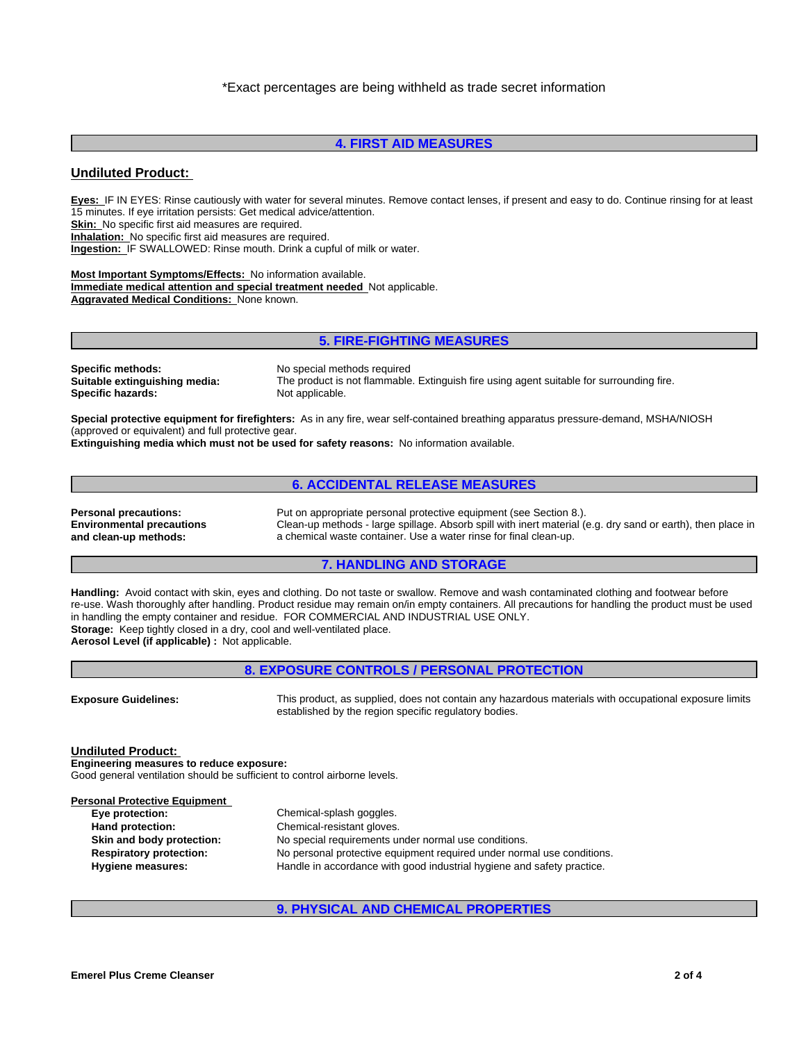# **4. FIRST AID MEASURES**

### **Undiluted Product:**

**Eyes:** IF IN EYES: Rinse cautiously with water for several minutes. Remove contact lenses, if present and easy to do. Continue rinsing for at least 15 minutes. If eye irritation persists: Get medical advice/attention. **Skin:** No specific first aid measures are required. **Inhalation:** No specific first aid measures are required. **Ingestion:** IF SWALLOWED: Rinse mouth. Drink a cupful of milk or water.

**Most Important Symptoms/Effects:** No information available. **Immediate medical attention and special treatment needed** Not applicable. **Aggravated Medical Conditions:** None known.

## **5. FIRE-FIGHTING MEASURES**

**Specific methods:** No special methods required **Specific hazards:** 

**Suitable extinguishing media:** The product is not flammable. Extinguish fire using agent suitable for surrounding fire.

**Special protective equipment for firefighters:** As in any fire, wear self-contained breathing apparatus pressure-demand, MSHA/NIOSH (approved or equivalent) and full protective gear.

**Extinguishing media which must not be used for safety reasons:** No information available.

# **6. ACCIDENTAL RELEASE MEASURES**

**Environmental precautions and clean-up methods:**

**Personal precautions:** Put on appropriate personal protective equipment (see Section 8.). Clean-up methods - large spillage. Absorb spill with inert material (e.g. dry sand or earth), then place in a chemical waste container. Use a water rinse for final clean-up.

### **7. HANDLING AND STORAGE**

**Handling:** Avoid contact with skin, eyes and clothing. Do not taste or swallow. Remove and wash contaminated clothing and footwear before re-use. Wash thoroughly after handling. Product residue may remain on/in empty containers. All precautions for handling the product must be used in handling the empty container and residue. FOR COMMERCIAL AND INDUSTRIAL USE ONLY. **Storage:** Keep tightly closed in a dry, cool and well-ventilated place. **Aerosol Level (if applicable) :** Not applicable.

**8. EXPOSURE CONTROLS / PERSONAL PROTECTION Exposure Guidelines:** This product, as supplied, does not contain any hazardous materials with occupational exposure limits established by the region specific regulatory bodies. **Undiluted Product: Engineering measures to reduce exposure:** Good general ventilation should be sufficient to control airborne levels. **Personal Protective Equipment** 

| $\sim$ 001101 1 101001110 Equipment |                                                                        |
|-------------------------------------|------------------------------------------------------------------------|
| Eye protection:                     | Chemical-splash goggles.                                               |
| Hand protection:                    | Chemical-resistant gloves.                                             |
| Skin and body protection:           | No special requirements under normal use conditions.                   |
| <b>Respiratory protection:</b>      | No personal protective equipment required under normal use conditions. |
| Hygiene measures:                   | Handle in accordance with good industrial hygiene and safety practice. |
|                                     |                                                                        |

### **9. PHYSICAL AND CHEMICAL PROPERTIES**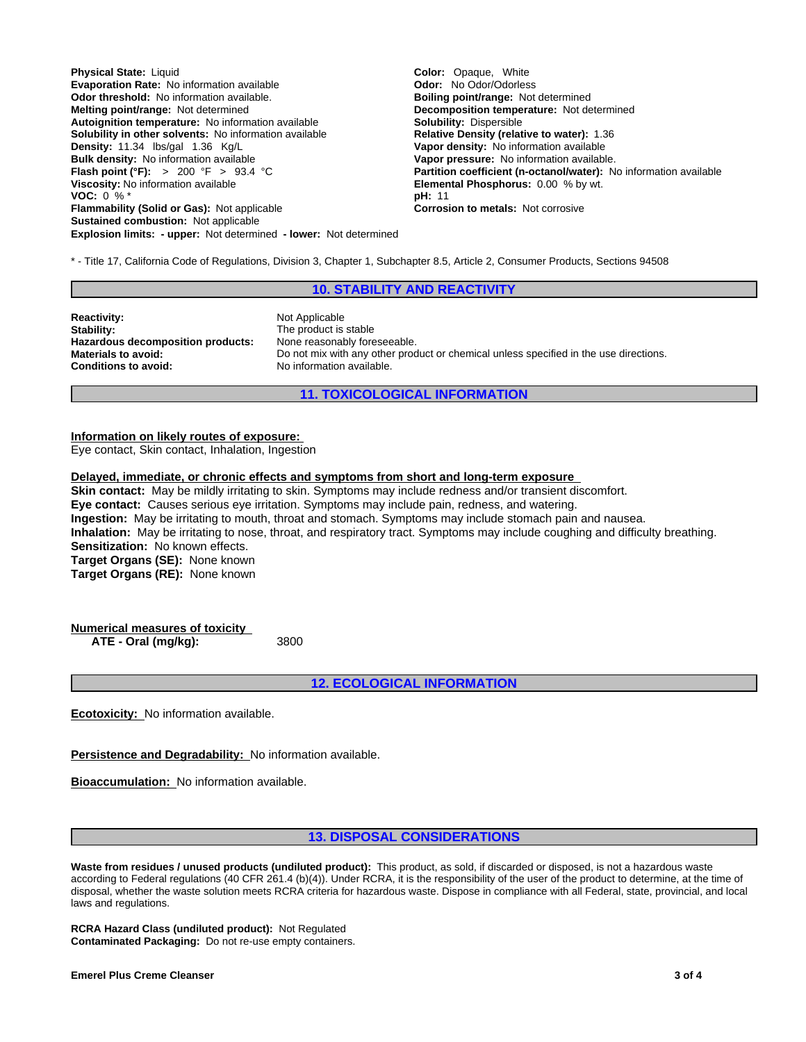**Explosion limits: - upper:** Not determined **- lower:** Not determined **Physical State:** Liquid **Color: Color: Color: Color: Color: Color: Color: Color: Color: Color: Color: Color: Color: Color: Color: Color: Color: Color: Color: Color: Color: Color: Evaporation Rate: No information available Odor threshold:** No information available. **Boiling point/range: Not determined Melting point/range:** Not determined **Melting point/range:** Not determined **Autoignition temperature:** No information available **Solubility in other solvents:** No information available **Relative Density (relative to water):** 1.36 **Density: 1.36 Relative To Water Water Proper density:** No information available **Bulk density:** No information available **Vapor pressure:** No information available.<br> **Flash point (°F):** > 200 °F > 93.4 °C<br> **Partition coefficient (n-octanol/water):** N **Viscosity:** No information available **Elemental Phosphorus:** 0.00 % by wt.<br> **VOC:** 0 % \* **VOC:**  $0\%$  \* **pH:** 11 **pH:** 11 **pH:** 11 **pH:** 11 *pH:* **11 <b>***pH:* **11** *pH:* **11 <b>***pH:* **11** *pH:* **11** *pH:* **11** *pH:* **11 <b>***pH:* **11** *pH:* **11** *pH:* **11 <b>***pH:* **11** *p<sub>1</sub> 11 <i>p<sub>1</sub> p11 <i>p<sub>1</sub> p1111111111* **Flammability (Solid or Gas): Not applicable Sustained combustion:** Not applicable

**Decomposition temperature:** Not determined **Solubility:** Dispersible **Vapor density:** No information available **Partition coefficient (n-octanol/water):** No information available

\* - Title 17, California Code of Regulations, Division 3, Chapter 1, Subchapter 8.5, Article 2, Consumer Products, Sections 94508

# **10. STABILITY AND REACTIVITY**

**Reactivity:** Not Applicable **Stability:** The product is stable<br> **Hazardous decomposition products:** None reasonably foreseeable. **Hazardous decomposition products:**<br>Materials to avoid: **Conditions to avoid:** No information available.

Do not mix with any other product or chemical unless specified in the use directions.

### **11. TOXICOLOGICAL INFORMATION**

#### **Information on likely routes of exposure:**

Eye contact, Skin contact, Inhalation, Ingestion

### **Delayed, immediate, or chronic effects and symptoms from short and long-term exposure**

**Skin contact:** May be mildly irritating to skin. Symptoms may include redness and/or transient discomfort. **Eye contact:** Causes serious eye irritation. Symptoms may include pain, redness, and watering. **Ingestion:** May be irritating to mouth, throat and stomach. Symptoms may include stomach pain and nausea. **Inhalation:** May be irritating to nose, throat, and respiratory tract. Symptoms may include coughing and difficulty breathing. **Sensitization:** No known effects. **Target Organs (SE):** None known **Target Organs (RE):** None known

**Numerical measures of toxicity ATE - Oral (mg/kg):** 3800

**12. ECOLOGICAL INFORMATION**

**Ecotoxicity:** No information available.

**Persistence and Degradability:** No information available.

**Bioaccumulation:** No information available.

#### **13. DISPOSAL CONSIDERATIONS**

**Waste from residues / unused products (undiluted product):** This product, as sold, if discarded or disposed, is not a hazardous waste according to Federal regulations (40 CFR 261.4 (b)(4)). Under RCRA, it is the responsibility of the user of the product to determine, at the time of disposal, whether the waste solution meets RCRA criteria for hazardous waste. Dispose in compliance with all Federal, state, provincial, and local laws and regulations.

**RCRA Hazard Class (undiluted product):** Not Regulated **Contaminated Packaging:** Do not re-use empty containers.